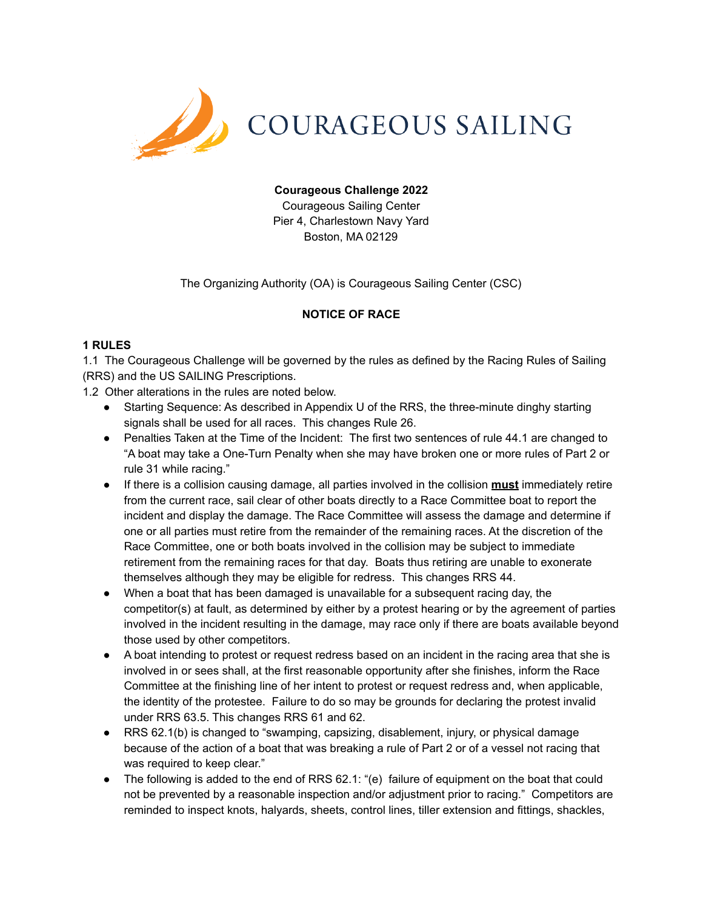

## **Courageous Challenge 2022**

Courageous Sailing Center Pier 4, Charlestown Navy Yard Boston, MA 02129

The Organizing Authority (OA) is Courageous Sailing Center (CSC)

## **NOTICE OF RACE**

#### **1 RULES**

1.1 The Courageous Challenge will be governed by the rules as defined by the Racing Rules of Sailing (RRS) and the US SAILING Prescriptions.

1.2 Other alterations in the rules are noted below.

- Starting Sequence: As described in Appendix U of the RRS, the three-minute dinghy starting signals shall be used for all races. This changes Rule 26.
- Penalties Taken at the Time of the Incident: The first two sentences of rule 44.1 are changed to "A boat may take a One-Turn Penalty when she may have broken one or more rules of Part 2 or rule 31 while racing."
- If there is a collision causing damage, all parties involved in the collision **must** immediately retire from the current race, sail clear of other boats directly to a Race Committee boat to report the incident and display the damage. The Race Committee will assess the damage and determine if one or all parties must retire from the remainder of the remaining races. At the discretion of the Race Committee, one or both boats involved in the collision may be subject to immediate retirement from the remaining races for that day. Boats thus retiring are unable to exonerate themselves although they may be eligible for redress. This changes RRS 44.
- When a boat that has been damaged is unavailable for a subsequent racing day, the competitor(s) at fault, as determined by either by a protest hearing or by the agreement of parties involved in the incident resulting in the damage, may race only if there are boats available beyond those used by other competitors.
- A boat intending to protest or request redress based on an incident in the racing area that she is involved in or sees shall, at the first reasonable opportunity after she finishes, inform the Race Committee at the finishing line of her intent to protest or request redress and, when applicable, the identity of the protestee. Failure to do so may be grounds for declaring the protest invalid under RRS 63.5. This changes RRS 61 and 62.
- RRS 62.1(b) is changed to "swamping, capsizing, disablement, injury, or physical damage because of the action of a boat that was breaking a rule of Part 2 or of a vessel not racing that was required to keep clear."
- The following is added to the end of RRS 62.1: "(e) failure of equipment on the boat that could not be prevented by a reasonable inspection and/or adjustment prior to racing." Competitors are reminded to inspect knots, halyards, sheets, control lines, tiller extension and fittings, shackles,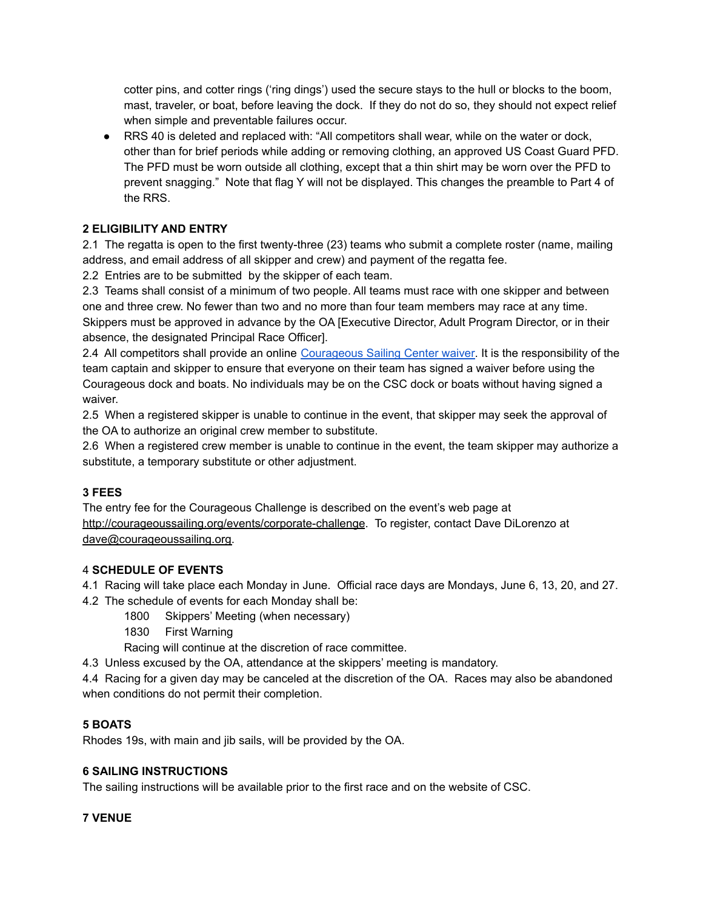cotter pins, and cotter rings ('ring dings') used the secure stays to the hull or blocks to the boom, mast, traveler, or boat, before leaving the dock. If they do not do so, they should not expect relief when simple and preventable failures occur.

● RRS 40 is deleted and replaced with: "All competitors shall wear, while on the water or dock, other than for brief periods while adding or removing clothing, an approved US Coast Guard PFD. The PFD must be worn outside all clothing, except that a thin shirt may be worn over the PFD to prevent snagging." Note that flag Y will not be displayed. This changes the preamble to Part 4 of the RRS.

# **2 ELIGIBILITY AND ENTRY**

2.1 The regatta is open to the first twenty-three (23) teams who submit a complete roster (name, mailing address, and email address of all skipper and crew) and payment of the regatta fee.

2.2 Entries are to be submitted by the skipper of each team.

2.3 Teams shall consist of a minimum of two people. All teams must race with one skipper and between one and three crew. No fewer than two and no more than four team members may race at any time. Skippers must be approved in advance by the OA [Executive Director, Adult Program Director, or in their absence, the designated Principal Race Officer].

2.4 All competitors shall provide an online [Courageous](https://courageoussailing.force.com/csguest/s/courageous-sailing-waiver) Sailing Center waiver. It is the responsibility of the team captain and skipper to ensure that everyone on their team has signed a waiver before using the Courageous dock and boats. No individuals may be on the CSC dock or boats without having signed a waiver.

2.5 When a registered skipper is unable to continue in the event, that skipper may seek the approval of the OA to authorize an original crew member to substitute.

2.6 When a registered crew member is unable to continue in the event, the team skipper may authorize a substitute, a temporary substitute or other adjustment.

# **3 FEES**

The entry fee for the Courageous Challenge is described on the event's web page at <http://courageoussailing.org/events/corporate-challenge>. To register, contact Dave DiLorenzo at [dave@courageoussailing.org.](mailto:dave@courageoussailing.org)

## 4 **SCHEDULE OF EVENTS**

4.1 Racing will take place each Monday in June. Official race days are Mondays, June 6, 13, 20, and 27.

4.2 The schedule of events for each Monday shall be:

- 1800 Skippers' Meeting (when necessary)
- 1830 First Warning

Racing will continue at the discretion of race committee.

4.3 Unless excused by the OA, attendance at the skippers' meeting is mandatory.

4.4 Racing for a given day may be canceled at the discretion of the OA. Races may also be abandoned when conditions do not permit their completion.

## **5 BOATS**

Rhodes 19s, with main and jib sails, will be provided by the OA.

## **6 SAILING INSTRUCTIONS**

The sailing instructions will be available prior to the first race and on the website of CSC.

## **7 VENUE**